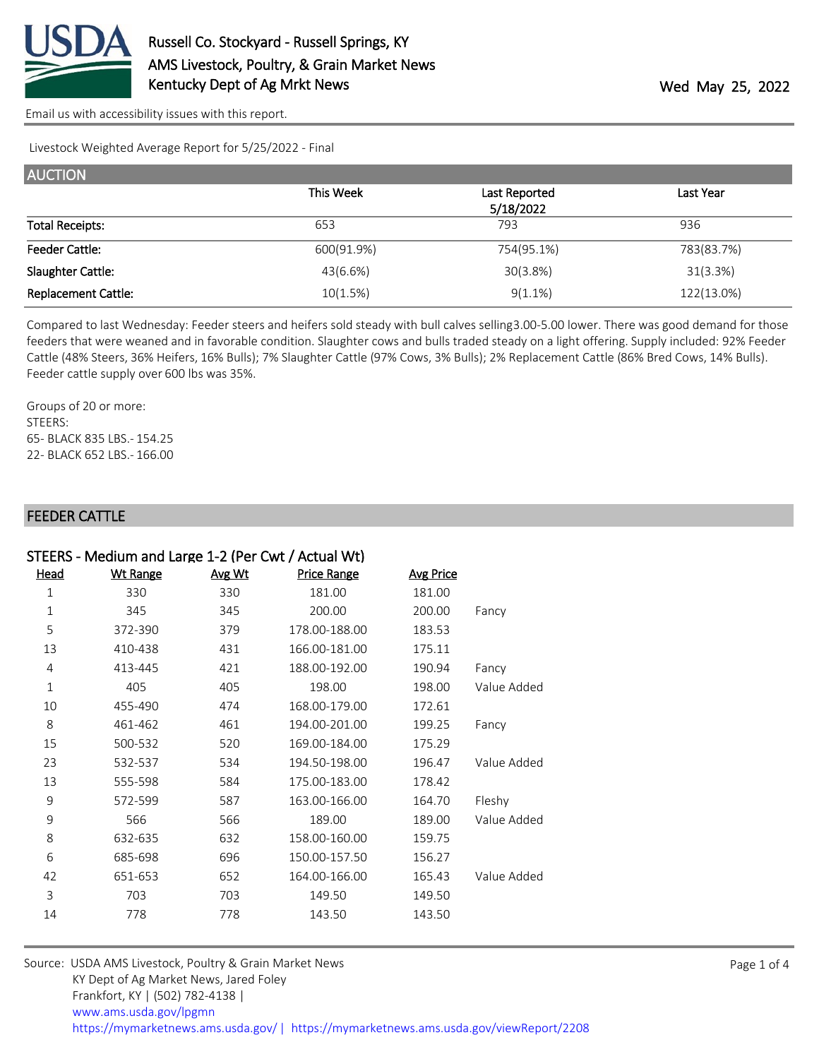

[Email us with accessibility issues with this report.](mailto:mars@ams.usda.gov?subject=508%20issue)

Livestock Weighted Average Report for 5/25/2022 - Final

| <b>AUCTION</b>             |            |               |            |
|----------------------------|------------|---------------|------------|
|                            | This Week  | Last Reported | Last Year  |
|                            |            | 5/18/2022     |            |
| <b>Total Receipts:</b>     | 653        | 793           | 936        |
| <b>Feeder Cattle:</b>      | 600(91.9%) | 754(95.1%)    | 783(83.7%) |
| Slaughter Cattle:          | 43(6.6%)   | 30(3.8%)      | 31(3.3%)   |
| <b>Replacement Cattle:</b> | 10(1.5%)   | $9(1.1\%)$    | 122(13.0%) |

Compared to last Wednesday: Feeder steers and heifers sold steady with bull calves selling 3.00-5.00 lower. There was good demand for those feeders that were weaned and in favorable condition. Slaughter cows and bulls traded steady on a light offering. Supply included: 92% Feeder Cattle (48% Steers, 36% Heifers, 16% Bulls); 7% Slaughter Cattle (97% Cows, 3% Bulls); 2% Replacement Cattle (86% Bred Cows, 14% Bulls). Feeder cattle supply over 600 lbs was 35%.

Groups of 20 or more: STEERS: 65- BLACK 835 LBS.- 154.25 22- BLACK 652 LBS.- 166.00

### FEEDER CATTLE

|              | STEERS - Medium and Large 1-2 (Per Cwt / Actual Wt) |        |                    |                  |             |
|--------------|-----------------------------------------------------|--------|--------------------|------------------|-------------|
| <u>Head</u>  | <b>Wt Range</b>                                     | Avg Wt | <b>Price Range</b> | <b>Avg Price</b> |             |
| $\mathbf 1$  | 330                                                 | 330    | 181.00             | 181.00           |             |
| $\mathbf{1}$ | 345                                                 | 345    | 200.00             | 200.00           | Fancy       |
| 5            | 372-390                                             | 379    | 178.00-188.00      | 183.53           |             |
| 13           | 410-438                                             | 431    | 166.00-181.00      | 175.11           |             |
| 4            | 413-445                                             | 421    | 188.00-192.00      | 190.94           | Fancy       |
| $\mathbf 1$  | 405                                                 | 405    | 198.00             | 198.00           | Value Added |
| 10           | 455-490                                             | 474    | 168.00-179.00      | 172.61           |             |
| 8            | 461-462                                             | 461    | 194.00-201.00      | 199.25           | Fancy       |
| 15           | 500-532                                             | 520    | 169.00-184.00      | 175.29           |             |
| 23           | 532-537                                             | 534    | 194.50-198.00      | 196.47           | Value Added |
| 13           | 555-598                                             | 584    | 175.00-183.00      | 178.42           |             |
| 9            | 572-599                                             | 587    | 163.00-166.00      | 164.70           | Fleshy      |
| 9            | 566                                                 | 566    | 189.00             | 189.00           | Value Added |
| 8            | 632-635                                             | 632    | 158.00-160.00      | 159.75           |             |
| 6            | 685-698                                             | 696    | 150.00-157.50      | 156.27           |             |
| 42           | 651-653                                             | 652    | 164.00-166.00      | 165.43           | Value Added |
| 3            | 703                                                 | 703    | 149.50             | 149.50           |             |
| 14           | 778                                                 | 778    | 143.50             | 143.50           |             |

| Source: USDA AMS Livestock, Poultry & Grain Market News                                |
|----------------------------------------------------------------------------------------|
| KY Dept of Ag Market News, Jared Foley                                                 |
| Frankfort, KY   (502) 782-4138                                                         |
| www.ams.usda.gov/lpgmn                                                                 |
| https://mymarketnews.ams.usda.gov/   https://mymarketnews.ams.usda.gov/viewReport/2208 |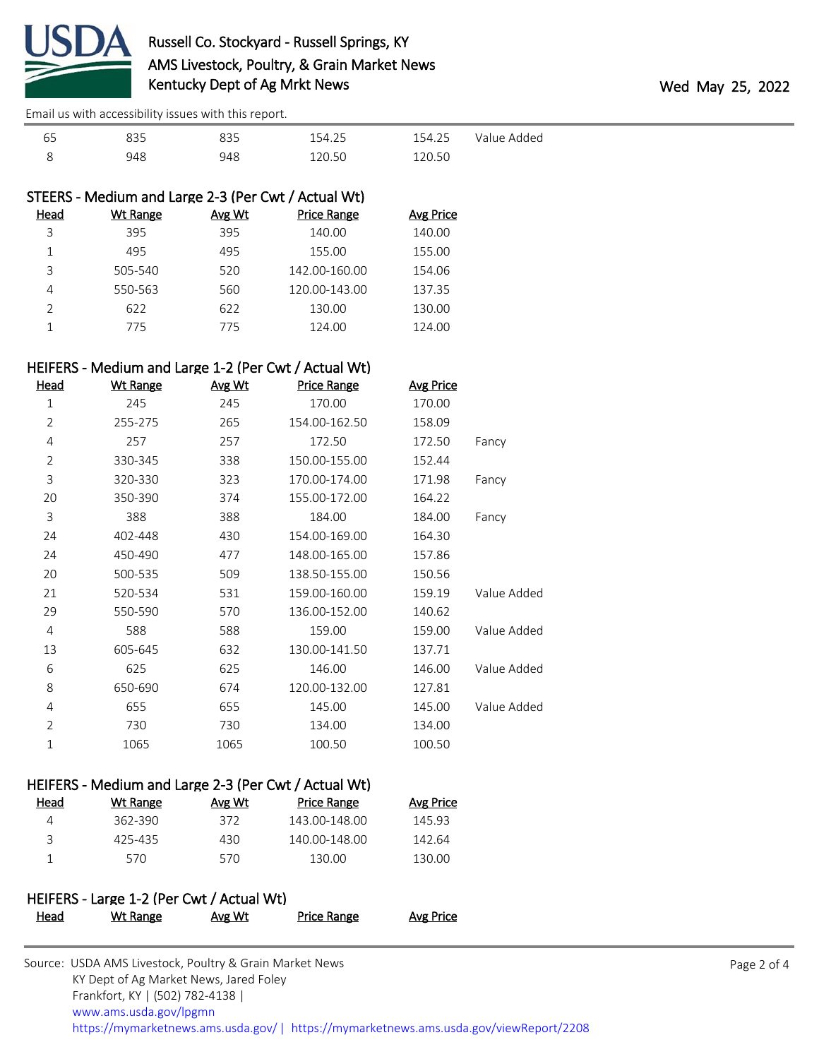

[Email us with accessibility issues with this report.](mailto:mars@ams.usda.gov?subject=508%20issue)

| 65 |     |     | 154.25 | 154.25 | Value Added |
|----|-----|-----|--------|--------|-------------|
|    | 948 | 948 | 120.50 | 120.50 |             |

|               | STEERS - Medium and Large 2-3 (Per Cwt / Actual Wt) |               |                    |                  |
|---------------|-----------------------------------------------------|---------------|--------------------|------------------|
| Head          | <b>Wt Range</b>                                     | <b>Avg Wt</b> | <b>Price Range</b> | <b>Avg Price</b> |
| 3             | 395                                                 | 395           | 140.00             | 140.00           |
|               | 495                                                 | 495           | 155.00             | 155.00           |
| 3             | 505-540                                             | 520           | 142.00-160.00      | 154.06           |
| 4             | 550-563                                             | 560           | 120.00-143.00      | 137.35           |
| $\mathcal{P}$ | 622                                                 | 622           | 130.00             | 130.00           |
|               | 775                                                 | 775           | 124.00             | 124.00           |

## HEIFERS - Medium and Large 1-2 (Per Cwt / Actual Wt)

| <u>Head</u>    | <b>Wt Range</b> | Avg Wt | <b>Price Range</b> | <b>Avg Price</b> |             |
|----------------|-----------------|--------|--------------------|------------------|-------------|
| $1\,$          | 245             | 245    | 170.00             | 170.00           |             |
| $\overline{2}$ | 255-275         | 265    | 154.00-162.50      | 158.09           |             |
| 4              | 257             | 257    | 172.50             | 172.50           | Fancy       |
| $\overline{2}$ | 330-345         | 338    | 150.00-155.00      | 152.44           |             |
| 3              | 320-330         | 323    | 170.00-174.00      | 171.98           | Fancy       |
| 20             | 350-390         | 374    | 155.00-172.00      | 164.22           |             |
| 3              | 388             | 388    | 184.00             | 184.00           | Fancy       |
| 24             | 402-448         | 430    | 154.00-169.00      | 164.30           |             |
| 24             | 450-490         | 477    | 148.00-165.00      | 157.86           |             |
| 20             | 500-535         | 509    | 138.50-155.00      | 150.56           |             |
| 21             | 520-534         | 531    | 159.00-160.00      | 159.19           | Value Added |
| 29             | 550-590         | 570    | 136.00-152.00      | 140.62           |             |
| 4              | 588             | 588    | 159.00             | 159.00           | Value Added |
| 13             | 605-645         | 632    | 130.00-141.50      | 137.71           |             |
| 6              | 625             | 625    | 146.00             | 146.00           | Value Added |
| 8              | 650-690         | 674    | 120.00-132.00      | 127.81           |             |
| 4              | 655             | 655    | 145.00             | 145.00           | Value Added |
| $\overline{2}$ | 730             | 730    | 134.00             | 134.00           |             |
| 1              | 1065            | 1065   | 100.50             | 100.50           |             |

### HEIFERS - Medium and Large 2-3 (Per Cwt / Actual Wt)

| Wt Range | Avg Wt | Price Range   | Avg Price |
|----------|--------|---------------|-----------|
| 362-390  | 372    | 143.00-148.00 | 145.93    |
| 425-435  | 430    | 140.00-148.00 | 142.64    |
| 570.     | 570    | 130.00        | 130.00    |
|          |        |               |           |

# HEIFERS - Large 1-2 (Per Cwt / Actual Wt) Head Wt Range Avg Wt Price Range Avg Price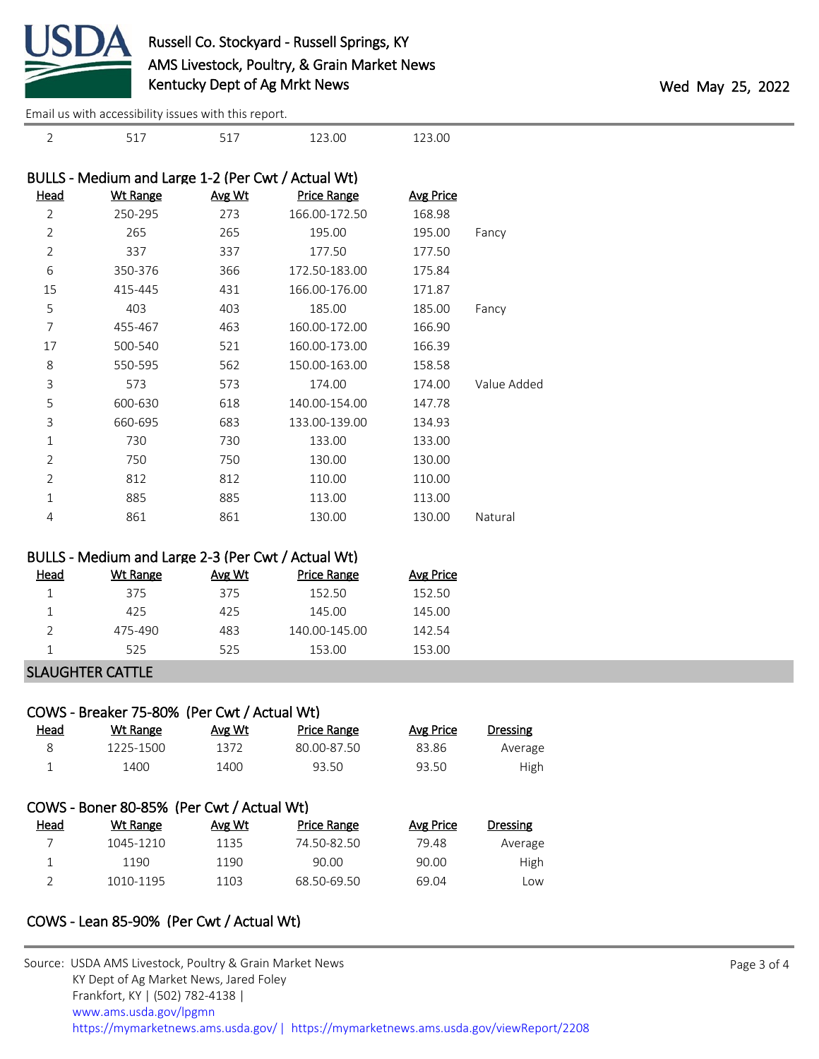

2 517 517 123.00 123.00

[Email us with accessibility issues with this report.](mailto:mars@ams.usda.gov?subject=508%20issue)

|                | BULLS - Medium and Large 1-2 (Per Cwt / Actual Wt) |               |                    |                  |             |
|----------------|----------------------------------------------------|---------------|--------------------|------------------|-------------|
| Head           | <b>Wt Range</b>                                    | <u>Avg Wt</u> | <b>Price Range</b> | <b>Avg Price</b> |             |
| $\overline{2}$ | 250-295                                            | 273           | 166.00-172.50      | 168.98           |             |
| $\overline{2}$ | 265                                                | 265           | 195.00             | 195.00           | Fancy       |
| $\overline{2}$ | 337                                                | 337           | 177.50             | 177.50           |             |
| 6              | 350-376                                            | 366           | 172.50-183.00      | 175.84           |             |
| 15             | 415-445                                            | 431           | 166.00-176.00      | 171.87           |             |
| 5              | 403                                                | 403           | 185.00             | 185.00           | Fancy       |
| 7              | 455-467                                            | 463           | 160.00-172.00      | 166.90           |             |
| 17             | 500-540                                            | 521           | 160.00-173.00      | 166.39           |             |
| 8              | 550-595                                            | 562           | 150.00-163.00      | 158.58           |             |
| 3              | 573                                                | 573           | 174.00             | 174.00           | Value Added |
| 5              | 600-630                                            | 618           | 140.00-154.00      | 147.78           |             |
| 3              | 660-695                                            | 683           | 133.00-139.00      | 134.93           |             |
| 1              | 730                                                | 730           | 133.00             | 133.00           |             |
| $\overline{2}$ | 750                                                | 750           | 130.00             | 130.00           |             |
| $\overline{2}$ | 812                                                | 812           | 110.00             | 110.00           |             |
| 1              | 885                                                | 885           | 113.00             | 113.00           |             |
| 4              | 861                                                | 861           | 130.00             | 130.00           | Natural     |

| BULLS - Medium and Large 2-3 (Per Cwt / Actual Wt) |  |  |  |  |
|----------------------------------------------------|--|--|--|--|
|----------------------------------------------------|--|--|--|--|

| Head | Wt Range | Avg Wt | <b>Price Range</b> | Avg Price |
|------|----------|--------|--------------------|-----------|
|      | 375      | 375    | 152.50             | 152.50    |
|      | 425      | 425    | 145.00             | 145.00    |
|      | 475-490  | 483    | 140.00-145.00      | 142.54    |
|      | 525      | 525    | 153.00             | 153.00    |

# SLAUGHTER CATTLE

|      | COWS - Breaker 75-80% (Per Cwt / Actual Wt) |        |                    |           |                 |
|------|---------------------------------------------|--------|--------------------|-----------|-----------------|
| Head | Wt Range                                    | Avg Wt | <b>Price Range</b> | Avg Price | <b>Dressing</b> |
| 8    | 1225-1500                                   | 1372   | 80.00-87.50        | 83.86     | Average         |
| 1    | 1400                                        | 1400   | 93.50              | 93.50     | High            |
|      |                                             |        |                    |           |                 |
|      | COWS - Boner 80-85% (Per Cwt / Actual Wt)   |        |                    |           |                 |
| Head | Wt Range                                    | Avg Wt | <b>Price Range</b> | Avg Price | <b>Dressing</b> |
|      | 1045-1210                                   | 1135   | 74.50-82.50        | 79.48     | Average         |
| 1    | 1190                                        | 1190   | 90.00              | 90.00     | High            |
| C    |                                             |        |                    |           |                 |

# COWS - Lean 85-90% (Per Cwt / Actual Wt)

| Source: USDA AMS Livestock, Poultry & Grain Market News                                |
|----------------------------------------------------------------------------------------|
| KY Dept of Ag Market News, Jared Foley                                                 |
| Frankfort, KY   (502) 782-4138                                                         |
| www.ams.usda.gov/lpgmn                                                                 |
| https://mymarketnews.ams.usda.gov/   https://mymarketnews.ams.usda.gov/viewReport/2208 |
|                                                                                        |